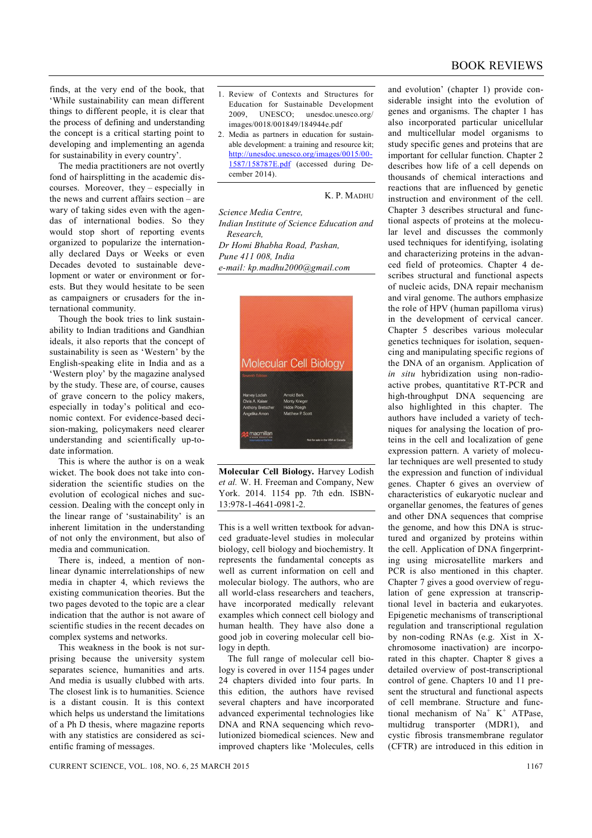finds, at the very end of the book, that 'While sustainability can mean different things to different people, it is clear that the process of defining and understanding the concept is a critical starting point to developing and implementing an agenda for sustainability in every country'.

The media practitioners are not overtly fond of hairsplitting in the academic discourses. Moreover, they – especially in the news and current affairs section – are wary of taking sides even with the agendas of international bodies. So they would stop short of reporting events organized to popularize the internationally declared Days or Weeks or even Decades devoted to sustainable development or water or environment or forests. But they would hesitate to be seen as campaigners or crusaders for the international community.

Though the book tries to link sustainability to Indian traditions and Gandhian ideals, it also reports that the concept of sustainability is seen as 'Western' by the English-speaking elite in India and as a 'Western ploy' by the magazine analysed by the study. These are, of course, causes of grave concern to the policy makers, especially in today's political and economic context. For evidence-based decision-making, policymakers need clearer understanding and scientifically up-todate information.

This is where the author is on a weak wicket. The book does not take into consideration the scientific studies on the evolution of ecological niches and succession. Dealing with the concept only in the linear range of 'sustainability' is an inherent limitation in the understanding of not only the environment, but also of media and communication.

There is, indeed, a mention of nonlinear dynamic interrelationships of new media in chapter 4, which reviews the existing communication theories. But the two pages devoted to the topic are a clear indication that the author is not aware of scientific studies in the recent decades on complex systems and networks.

This weakness in the book is not surprising because the university system separates science, humanities and arts. And media is usually clubbed with arts. The closest link is to humanities. Science is a distant cousin. It is this context which helps us understand the limitations of a Ph D thesis, where magazine reports with any statistics are considered as scientific framing of messages.

- 1. Review of Contexts and Structures for Education for Sustainable Development 2009, UNESCO; unesdoc.unesco.org/ images/0018/001849/184944e.pdf
- 2. Media as partners in education for sustainable development: a training and resource kit; http://unesdoc.unesco.org/images/0015/00- 1587/158787E.pdf (accessed during December 2014).

K. P. MADHU

*Science Media Centre, Indian Institute of Science Education and Research, Dr Homi Bhabha Road, Pashan, Pune 411 008, India e-mail: kp.madhu2000@gmail.com*



**Molecular Cell Biology.** Harvey Lodish *et al.* W. H. Freeman and Company, New York. 2014. 1154 pp. 7th edn. ISBN-13:978-1-4641-0981-2.

This is a well written textbook for advanced graduate-level studies in molecular biology, cell biology and biochemistry. It represents the fundamental concepts as well as current information on cell and molecular biology. The authors, who are all world-class researchers and teachers, have incorporated medically relevant examples which connect cell biology and human health. They have also done a good job in covering molecular cell biology in depth.

The full range of molecular cell biology is covered in over 1154 pages under 24 chapters divided into four parts. In this edition, the authors have revised several chapters and have incorporated advanced experimental technologies like DNA and RNA sequencing which revolutionized biomedical sciences. New and improved chapters like 'Molecules, cells and evolution' (chapter 1) provide considerable insight into the evolution of genes and organisms. The chapter 1 has also incorporated particular unicellular and multicellular model organisms to study specific genes and proteins that are important for cellular function. Chapter 2 describes how life of a cell depends on thousands of chemical interactions and reactions that are influenced by genetic instruction and environment of the cell. Chapter 3 describes structural and functional aspects of proteins at the molecular level and discusses the commonly used techniques for identifying, isolating and characterizing proteins in the advanced field of proteomics. Chapter 4 describes structural and functional aspects of nucleic acids, DNA repair mechanism and viral genome. The authors emphasize the role of HPV (human papilloma virus) in the development of cervical cancer. Chapter 5 describes various molecular genetics techniques for isolation, sequencing and manipulating specific regions of the DNA of an organism. Application of *in situ* hybridization using non-radioactive probes, quantitative RT-PCR and high-throughput DNA sequencing are also highlighted in this chapter. The authors have included a variety of techniques for analysing the location of proteins in the cell and localization of gene expression pattern. A variety of molecular techniques are well presented to study the expression and function of individual genes. Chapter 6 gives an overview of characteristics of eukaryotic nuclear and organellar genomes, the features of genes and other DNA sequences that comprise the genome, and how this DNA is structured and organized by proteins within the cell. Application of DNA fingerprinting using microsatellite markers and PCR is also mentioned in this chapter. Chapter 7 gives a good overview of regulation of gene expression at transcriptional level in bacteria and eukaryotes. Epigenetic mechanisms of transcriptional regulation and transcriptional regulation by non-coding RNAs (e.g. Xist in Xchromosome inactivation) are incorporated in this chapter. Chapter 8 gives a detailed overview of post-transcriptional control of gene. Chapters 10 and 11 present the structural and functional aspects of cell membrane. Structure and functional mechanism of  $Na<sup>+</sup> K<sup>+</sup> ATPase$ , multidrug transporter (MDR1), and cystic fibrosis transmembrane regulator (CFTR) are introduced in this edition in